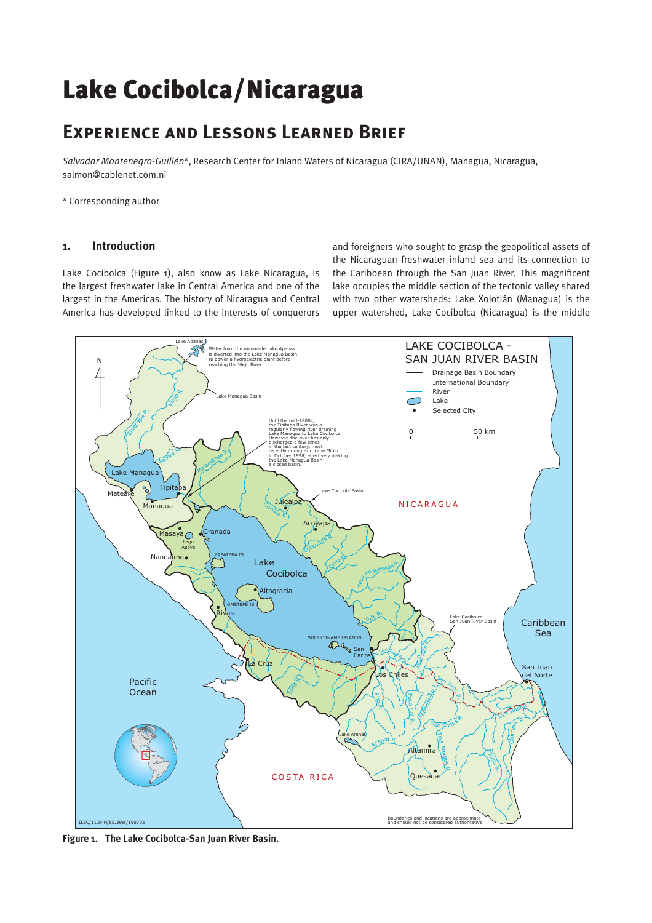# Lake Cocibolca/Nicaragua

# **Experience and Lessons Learned Brief**

*Salvador Montenegro-Guillén*\*, Research Center for Inland Waters of Nicaragua (CIRA/UNAN), Managua, Nicaragua, salmon@cablenet.com.ni

\* Corresponding author

# **1. Introduction**

Lake Cocibolca (Figure 1), also know as Lake Nicaragua, is the largest freshwater lake in Central America and one of the largest in the Americas. The history of Nicaragua and Central America has developed linked to the interests of conquerors

and foreigners who sought to grasp the geopolitical assets of the Nicaraguan freshwater inland sea and its connection to the Caribbean through the San Juan River. This magnificent lake occupies the middle section of the tectonic valley shared with two other watersheds: Lake Xolotlán (Managua) is the upper watershed, Lake Cocibolca (Nicaragua) is the middle



**Figure 1. The Lake Cocibolca-San Juan River Basin.**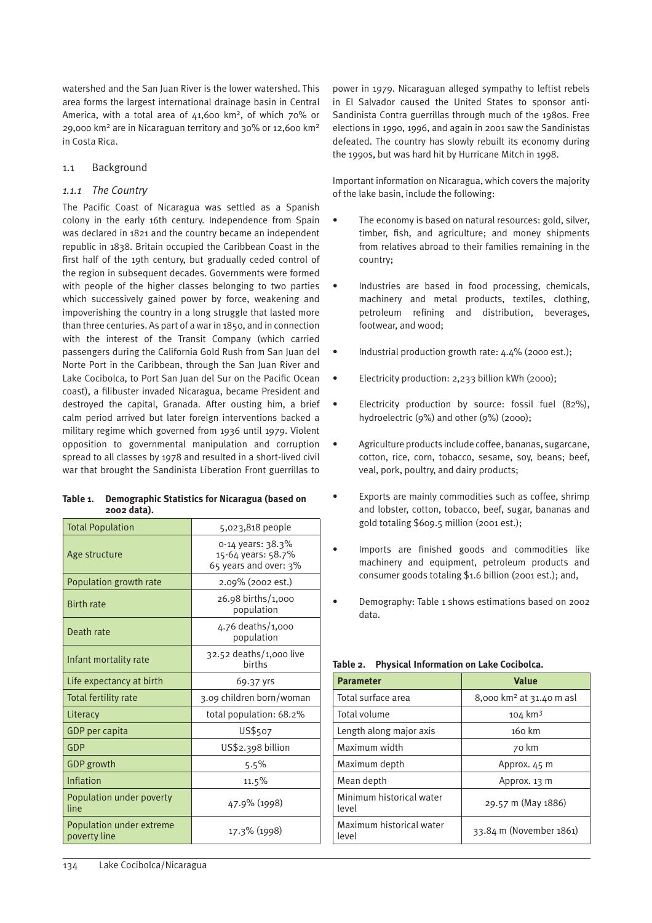watershed and the San Juan River is the lower watershed. This area forms the largest international drainage basin in Central America, with a total area of 41,600 km<sup>2</sup>, of which 70% or 29,000 km2 are in Nicaraguan territory and 30% or 12,600 km2 in Costa Rica.

#### 1.1 Background

#### *1.1.1 The Country*

The Pacific Coast of Nicaragua was settled as a Spanish colony in the early 16th century. Independence from Spain was declared in 1821 and the country became an independent republic in 1838. Britain occupied the Caribbean Coast in the first half of the 19th century, but gradually ceded control of the region in subsequent decades. Governments were formed with people of the higher classes belonging to two parties which successively gained power by force, weakening and impoverishing the country in a long struggle that lasted more than three centuries. As part of a war in 1850, and in connection with the interest of the Transit Company (which carried passengers during the California Gold Rush from San Juan del Norte Port in the Caribbean, through the San Juan River and Lake Cocibolca, to Port San Juan del Sur on the Pacific Ocean coast), a filibuster invaded Nicaragua, became President and destroyed the capital, Granada. After ousting him, a brief calm period arrived but later foreign interventions backed a military regime which governed from 1936 until 1979. Violent opposition to governmental manipulation and corruption spread to all classes by 1978 and resulted in a short-lived civil war that brought the Sandinista Liberation Front guerrillas to

| Table 1. | Demographic Statistics for Nicaragua (based on |
|----------|------------------------------------------------|
|          | 2002 data).                                    |

| <b>Total Population</b>                  | 5,023,818 people                                                 |  |  |
|------------------------------------------|------------------------------------------------------------------|--|--|
| Age structure                            | 0-14 years: 38.3%<br>15-64 years: 58.7%<br>65 years and over: 3% |  |  |
| Population growth rate                   | 2.09% (2002 est.)                                                |  |  |
| <b>Birth rate</b>                        | 26.98 births/1,000<br>population                                 |  |  |
| Death rate                               | 4.76 deaths/1,000<br>population                                  |  |  |
| Infant mortality rate                    | $32.52$ deaths/1,000 live<br><b>births</b>                       |  |  |
| Life expectancy at birth                 | 69.37 yrs                                                        |  |  |
| <b>Total fertility rate</b>              | 3.09 children born/woman                                         |  |  |
| Literacy                                 | total population: 68.2%                                          |  |  |
| GDP per capita                           | US\$507                                                          |  |  |
| GDP                                      | US\$2.398 billion                                                |  |  |
| <b>GDP</b> growth                        | 5.5%                                                             |  |  |
| Inflation                                | $11.5\%$                                                         |  |  |
| Population under poverty<br>line         | 47.9% (1998)                                                     |  |  |
| Population under extreme<br>poverty line | 17.3% (1998)                                                     |  |  |

power in 1979. Nicaraguan alleged sympathy to leftist rebels in El Salvador caused the United States to sponsor anti-Sandinista Contra guerrillas through much of the 1980s. Free elections in 1990, 1996, and again in 2001 saw the Sandinistas defeated. The country has slowly rebuilt its economy during the 1990s, but was hard hit by Hurricane Mitch in 1998.

Important information on Nicaragua, which covers the majority of the lake basin, include the following:

- The economy is based on natural resources: gold, silver, timber, fish, and agriculture; and money shipments from relatives abroad to their families remaining in the country;
- Industries are based in food processing, chemicals, machinery and metal products, textiles, clothing, petroleum refining and distribution, beverages, footwear, and wood;
- Industrial production growth rate: 4.4% (2000 est.);
	- Electricity production: 2,233 billion kWh (2000);
- Electricity production by source: fossil fuel (82%), hydroelectric (9%) and other (9%) (2000);
- Agriculture products include coffee, bananas, sugarcane, cotton, rice, corn, tobacco, sesame, soy, beans; beef, veal, pork, poultry, and dairy products;
- Exports are mainly commodities such as coffee, shrimp and lobster, cotton, tobacco, beef, sugar, bananas and gold totaling \$609.5 million (2001 est.);
- Imports are finished goods and commodities like machinery and equipment, petroleum products and consumer goods totaling \$1.6 billion (2001 est.); and,
- Demography: Table 1 shows estimations based on 2002 data.

| <b>Parameter</b>                  | <b>Value</b>                         |  |  |  |
|-----------------------------------|--------------------------------------|--|--|--|
| Total surface area                | 8,000 km <sup>2</sup> at 31.40 m asl |  |  |  |
| Total volume                      | $104 \text{ km}^3$                   |  |  |  |
| Length along major axis           | 160 km                               |  |  |  |
| Maximum width                     | 70 km                                |  |  |  |
| Maximum depth                     | Approx. 45 m                         |  |  |  |
| Mean depth                        | Approx. 13 m                         |  |  |  |
| Minimum historical water<br>level | 29.57 m (May 1886)                   |  |  |  |
| Maximum historical water<br>level | 33.84 m (November 1861)              |  |  |  |

| Table 2. |  |  |  | <b>Physical Information on Lake Cocibolca.</b> |
|----------|--|--|--|------------------------------------------------|
|          |  |  |  |                                                |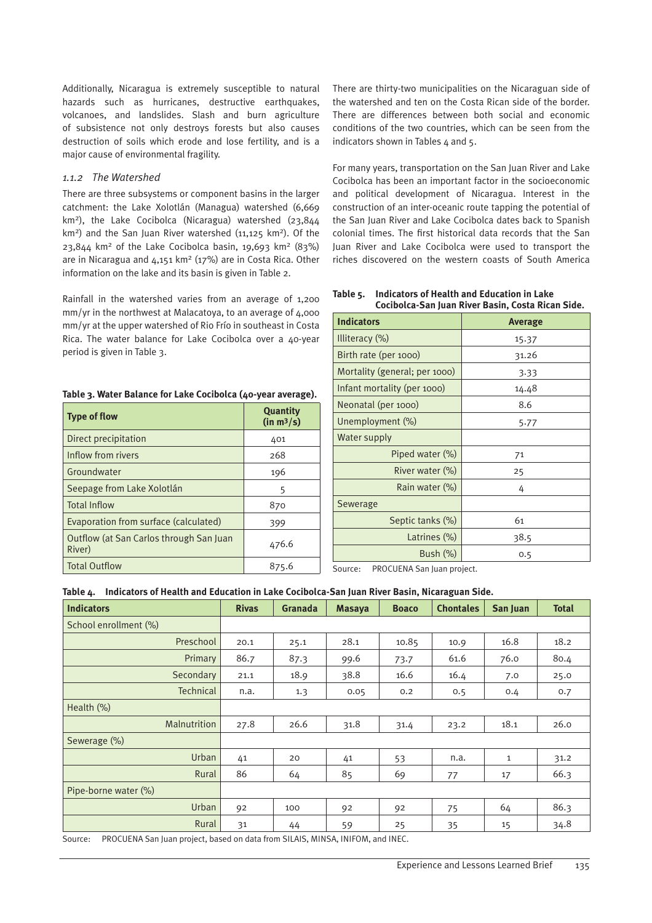Additionally, Nicaragua is extremely susceptible to natural hazards such as hurricanes, destructive earthquakes, volcanoes, and landslides. Slash and burn agriculture of subsistence not only destroys forests but also causes destruction of soils which erode and lose fertility, and is a major cause of environmental fragility.

#### *1.1.2 The Watershed*

There are three subsystems or component basins in the larger catchment: the Lake Xolotlán (Managua) watershed (6,669 km2), the Lake Cocibolca (Nicaragua) watershed (23,844 km<sup>2</sup>) and the San Juan River watershed (11,125 km<sup>2</sup>). Of the 23,844 km<sup>2</sup> of the Lake Cocibolca basin, 19,693 km<sup>2</sup> (83%) are in Nicaragua and  $4,151$  km<sup>2</sup> ( $17\%$ ) are in Costa Rica. Other information on the lake and its basin is given in Table 2.

Rainfall in the watershed varies from an average of 1,200 mm/yr in the northwest at Malacatoya, to an average of 4,000 mm/yr at the upper watershed of Rio Frío in southeast in Costa Rica. The water balance for Lake Cocibolca over a 40-year period is given in Table 3.

#### **Table 3. Water Balance for Lake Cocibolca (40-year average).**

| <b>Type of flow</b>                               | <b>Quantity</b><br>(in m <sup>3</sup> /s) |
|---------------------------------------------------|-------------------------------------------|
| Direct precipitation                              | 401                                       |
| Inflow from rivers                                | 268                                       |
| Groundwater                                       | 196                                       |
| Seepage from Lake Xolotlán                        | 5                                         |
| <b>Total Inflow</b>                               | 870                                       |
| Evaporation from surface (calculated)             | 399                                       |
| Outflow (at San Carlos through San Juan<br>River) | 476.6                                     |
| <b>Total Outflow</b>                              | 875.6                                     |

There are thirty-two municipalities on the Nicaraguan side of the watershed and ten on the Costa Rican side of the border. There are differences between both social and economic conditions of the two countries, which can be seen from the indicators shown in Tables  $4$  and  $5$ .

For many years, transportation on the San Juan River and Lake Cocibolca has been an important factor in the socioeconomic and political development of Nicaragua. Interest in the construction of an inter-oceanic route tapping the potential of the San Juan River and Lake Cocibolca dates back to Spanish colonial times. The first historical data records that the San Juan River and Lake Cocibolca were used to transport the riches discovered on the western coasts of South America

**Table 5. Indicators of Health and Education in Lake Cocibolca-San Juan River Basin, Costa Rican Side.**

| <b>Indicators</b>             | Average |  |  |
|-------------------------------|---------|--|--|
| Illiteracy $(\%)$             | 15.37   |  |  |
| Birth rate (per 1000)         | 31.26   |  |  |
| Mortality (general; per 1000) | 3.33    |  |  |
| Infant mortality (per 1000)   | 14.48   |  |  |
| Neonatal (per 1000)           | 8.6     |  |  |
| Unemployment (%)              | 5.77    |  |  |
| Water supply                  |         |  |  |
| Piped water (%)               | 71      |  |  |
| River water (%)               | 25      |  |  |
| Rain water (%)                | 4       |  |  |
| Sewerage                      |         |  |  |
| Septic tanks (%)              | 61      |  |  |
| Latrines (%)                  | 38.5    |  |  |
| Bush $(\%)$                   | 0.5     |  |  |

Source: PROCUENA San Juan project.

#### **Table 4. Indicators of Health and Education in Lake Cocibolca-San Juan River Basin, Nicaraguan Side.**

| <b>Indicators</b>                     | <b>Rivas</b> | Granada | <b>Masaya</b> | <b>Boaco</b>   | <b>Chontales</b> | San Juan     | <b>Total</b> |
|---------------------------------------|--------------|---------|---------------|----------------|------------------|--------------|--------------|
| School enrollment (%)                 |              |         |               |                |                  |              |              |
| Preschool                             | 20.1         | 25.1    | 28.1          | 10.85          | 10.9             | 16.8         | 18.2         |
| Primary                               | 86.7         | 87.3    | 99.6          | 73.7           | 61.6             | 76.0         | 80.4         |
| Secondary                             | 21.1         | 18.9    | 38.8          | 16.6           | 16.4             | 7.0          | 25.0         |
| Technical                             | n.a.         | 1.3     | 0.05          | 0.2            | 0.5              | 0.4          | 0.7          |
| Health (%)                            |              |         |               |                |                  |              |              |
| Malnutrition                          | 27.8         | 26.6    | 31.8          | 31.4           | 23.2             | 18.1         | 26.0         |
| Sewerage (%)                          |              |         |               |                |                  |              |              |
| Urban                                 | 41           | 20      | 41            | 53             | n.a.             | $\mathbf{1}$ | 31.2         |
| Rural                                 | 86           | 64      | 85            | 69             | 77               | 17           | 66.3         |
| Pipe-borne water (%)                  |              |         |               |                |                  |              |              |
| Urban                                 | 92           | 100     | 92            | 92             | 75               | 64           | 86.3         |
| Rural                                 | 31           | 44      | 59            | 25             | 35               | 15           | 34.8         |
| ----------<br>$\cdot$ $\cdot$ $\cdot$ |              |         | . <b>.</b>    | $1.111 - 1.01$ |                  |              |              |

Source: PROCUENA San Juan project, based on data from SILAIS, MINSA, INIFOM, and INEC.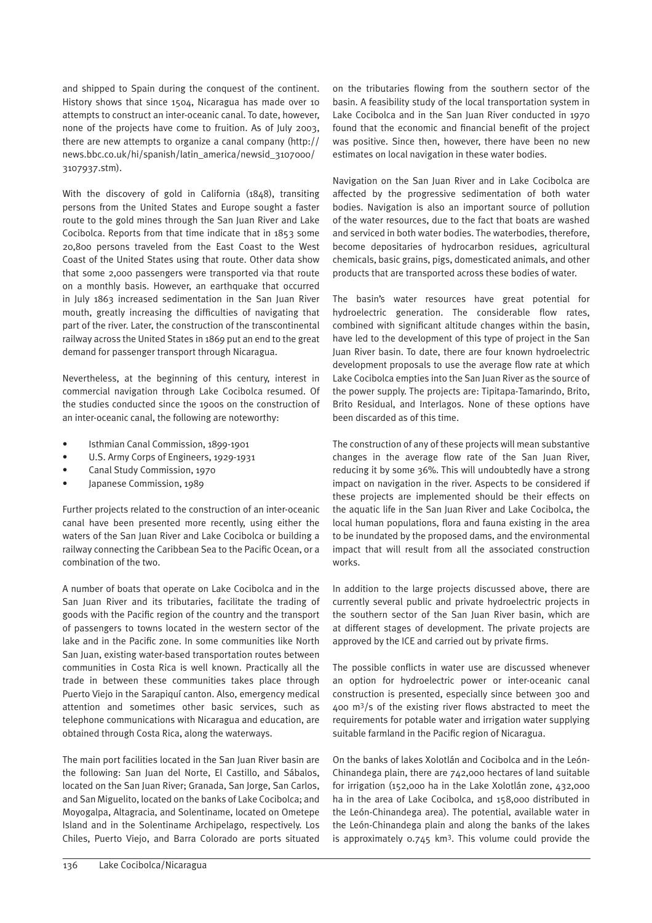and shipped to Spain during the conquest of the continent. History shows that since 1504, Nicaragua has made over 10 attempts to construct an inter-oceanic canal. To date, however, none of the projects have come to fruition. As of July 2003, there are new attempts to organize a canal company (http:// news.bbc.co.uk/hi/spanish/latin\_america/newsid\_3107000/ 3107937.stm).

With the discovery of gold in California (1848), transiting persons from the United States and Europe sought a faster route to the gold mines through the San Juan River and Lake Cocibolca. Reports from that time indicate that in 1853 some 20,800 persons traveled from the East Coast to the West Coast of the United States using that route. Other data show that some 2,000 passengers were transported via that route on a monthly basis. However, an earthquake that occurred in July 1863 increased sedimentation in the San Juan River mouth, greatly increasing the difficulties of navigating that part of the river. Later, the construction of the transcontinental railway across the United States in 1869 put an end to the great demand for passenger transport through Nicaragua.

Nevertheless, at the beginning of this century, interest in commercial navigation through Lake Cocibolca resumed. Of the studies conducted since the 1900s on the construction of an inter-oceanic canal, the following are noteworthy:

- Isthmian Canal Commission, 1899-1901
- U.S. Army Corps of Engineers, 1929-1931
- Canal Study Commission, 1970
- Japanese Commission, 1989

Further projects related to the construction of an inter-oceanic canal have been presented more recently, using either the waters of the San Juan River and Lake Cocibolca or building a railway connecting the Caribbean Sea to the Pacific Ocean, or a combination of the two.

A number of boats that operate on Lake Cocibolca and in the San Juan River and its tributaries, facilitate the trading of goods with the Pacific region of the country and the transport of passengers to towns located in the western sector of the lake and in the Pacific zone. In some communities like North San Juan, existing water-based transportation routes between communities in Costa Rica is well known. Practically all the trade in between these communities takes place through Puerto Viejo in the Sarapiquí canton. Also, emergency medical attention and sometimes other basic services, such as telephone communications with Nicaragua and education, are obtained through Costa Rica, along the waterways.

The main port facilities located in the San Juan River basin are the following: San Juan del Norte, El Castillo, and Sábalos, located on the San Juan River; Granada, San Jorge, San Carlos, and San Miguelito, located on the banks of Lake Cocibolca; and Moyogalpa, Altagracia, and Solentiname, located on Ometepe Island and in the Solentiname Archipelago, respectively. Los Chiles, Puerto Viejo, and Barra Colorado are ports situated

on the tributaries flowing from the southern sector of the basin. A feasibility study of the local transportation system in Lake Cocibolca and in the San Juan River conducted in 1970 found that the economic and financial benefit of the project was positive. Since then, however, there have been no new estimates on local navigation in these water bodies.

Navigation on the San Juan River and in Lake Cocibolca are affected by the progressive sedimentation of both water bodies. Navigation is also an important source of pollution of the water resources, due to the fact that boats are washed and serviced in both water bodies. The waterbodies, therefore, become depositaries of hydrocarbon residues, agricultural chemicals, basic grains, pigs, domesticated animals, and other products that are transported across these bodies of water.

The basin's water resources have great potential for hydroelectric generation. The considerable flow rates, combined with significant altitude changes within the basin, have led to the development of this type of project in the San Juan River basin. To date, there are four known hydroelectric development proposals to use the average flow rate at which Lake Cocibolca empties into the San Juan River as the source of the power supply. The projects are: Tipitapa-Tamarindo, Brito, Brito Residual, and Interlagos. None of these options have been discarded as of this time.

The construction of any of these projects will mean substantive changes in the average flow rate of the San Juan River, reducing it by some 36%. This will undoubtedly have a strong impact on navigation in the river. Aspects to be considered if these projects are implemented should be their effects on the aquatic life in the San Juan River and Lake Cocibolca, the local human populations, flora and fauna existing in the area to be inundated by the proposed dams, and the environmental impact that will result from all the associated construction works.

In addition to the large projects discussed above, there are currently several public and private hydroelectric projects in the southern sector of the San Juan River basin, which are at different stages of development. The private projects are approved by the ICE and carried out by private firms.

The possible conflicts in water use are discussed whenever an option for hydroelectric power or inter-oceanic canal construction is presented, especially since between 300 and 400 m3/s of the existing river flows abstracted to meet the requirements for potable water and irrigation water supplying suitable farmland in the Pacific region of Nicaragua.

On the banks of lakes Xolotlán and Cocibolca and in the León-Chinandega plain, there are 742,000 hectares of land suitable for irrigation (152,000 ha in the Lake Xolotlán zone, 432,000 ha in the area of Lake Cocibolca, and 158,000 distributed in the León-Chinandega area). The potential, available water in the León-Chinandega plain and along the banks of the lakes is approximately  $0.745$  km<sup>3</sup>. This volume could provide the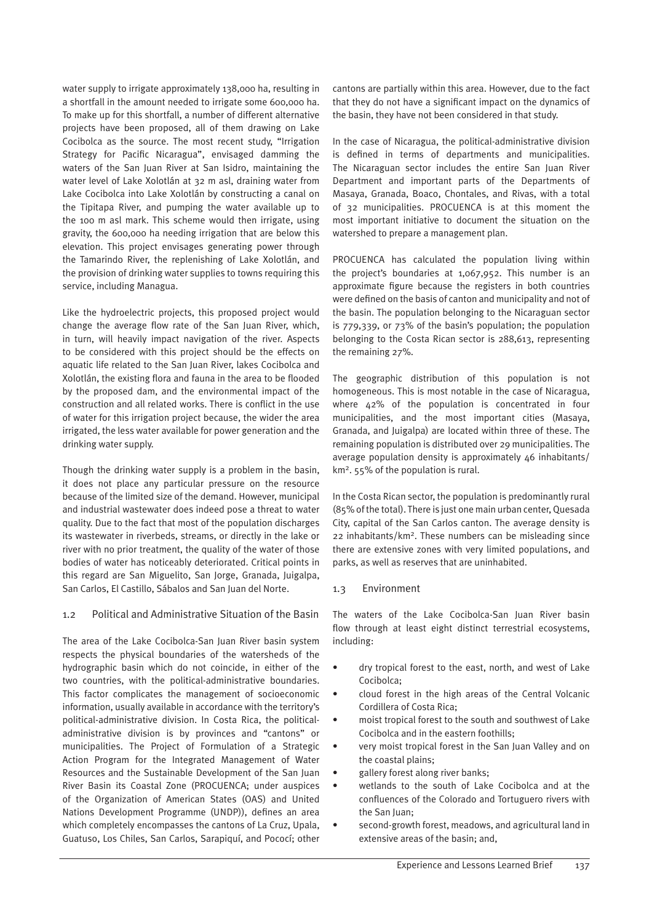water supply to irrigate approximately 138,000 ha, resulting in a shortfall in the amount needed to irrigate some 600,000 ha. To make up for this shortfall, a number of different alternative projects have been proposed, all of them drawing on Lake Cocibolca as the source. The most recent study, "Irrigation Strategy for Pacific Nicaragua", envisaged damming the waters of the San Juan River at San Isidro, maintaining the water level of Lake Xolotlán at 32 m asl, draining water from Lake Cocibolca into Lake Xolotlán by constructing a canal on the Tipitapa River, and pumping the water available up to the 100 m asl mark. This scheme would then irrigate, using gravity, the 600,000 ha needing irrigation that are below this elevation. This project envisages generating power through the Tamarindo River, the replenishing of Lake Xolotlán, and the provision of drinking water supplies to towns requiring this service, including Managua.

Like the hydroelectric projects, this proposed project would change the average flow rate of the San Juan River, which, in turn, will heavily impact navigation of the river. Aspects to be considered with this project should be the effects on aquatic life related to the San Juan River, lakes Cocibolca and Xolotlán, the existing flora and fauna in the area to be flooded by the proposed dam, and the environmental impact of the construction and all related works. There is conflict in the use of water for this irrigation project because, the wider the area irrigated, the less water available for power generation and the drinking water supply.

Though the drinking water supply is a problem in the basin, it does not place any particular pressure on the resource because of the limited size of the demand. However, municipal and industrial wastewater does indeed pose a threat to water quality. Due to the fact that most of the population discharges its wastewater in riverbeds, streams, or directly in the lake or river with no prior treatment, the quality of the water of those bodies of water has noticeably deteriorated. Critical points in this regard are San Miguelito, San Jorge, Granada, Juigalpa, San Carlos, El Castillo, Sábalos and San Juan del Norte.

#### 1.2 Political and Administrative Situation of the Basin

The area of the Lake Cocibolca-San Juan River basin system respects the physical boundaries of the watersheds of the hydrographic basin which do not coincide, in either of the two countries, with the political-administrative boundaries. This factor complicates the management of socioeconomic information, usually available in accordance with the territory's political-administrative division. In Costa Rica, the politicaladministrative division is by provinces and "cantons" or municipalities. The Project of Formulation of a Strategic Action Program for the Integrated Management of Water Resources and the Sustainable Development of the San Juan River Basin its Coastal Zone (PROCUENCA; under auspices of the Organization of American States (OAS) and United Nations Development Programme (UNDP)), defines an area which completely encompasses the cantons of La Cruz, Upala, Guatuso, Los Chiles, San Carlos, Sarapiquí, and Pococí; other

cantons are partially within this area. However, due to the fact that they do not have a significant impact on the dynamics of the basin, they have not been considered in that study.

In the case of Nicaragua, the political-administrative division is defined in terms of departments and municipalities. The Nicaraguan sector includes the entire San Juan River Department and important parts of the Departments of Masaya, Granada, Boaco, Chontales, and Rivas, with a total of 32 municipalities. PROCUENCA is at this moment the most important initiative to document the situation on the watershed to prepare a management plan.

PROCUENCA has calculated the population living within the project's boundaries at 1,067,952. This number is an approximate figure because the registers in both countries were defined on the basis of canton and municipality and not of the basin. The population belonging to the Nicaraguan sector is 779,339, or 73% of the basin's population; the population belonging to the Costa Rican sector is 288,613, representing the remaining 27%.

The geographic distribution of this population is not homogeneous. This is most notable in the case of Nicaragua, where 42% of the population is concentrated in four municipalities, and the most important cities (Masaya, Granada, and Juigalpa) are located within three of these. The remaining population is distributed over 29 municipalities. The average population density is approximately 46 inhabitants/ km2. 55% of the population is rural.

In the Costa Rican sector, the population is predominantly rural (85% of the total). There is just one main urban center, Quesada City, capital of the San Carlos canton. The average density is 22 inhabitants/km2. These numbers can be misleading since there are extensive zones with very limited populations, and parks, as well as reserves that are uninhabited.

#### 1.3 Environment

The waters of the Lake Cocibolca-San Juan River basin flow through at least eight distinct terrestrial ecosystems, including:

- dry tropical forest to the east, north, and west of Lake Cocibolca;
- cloud forest in the high areas of the Central Volcanic Cordillera of Costa Rica;
- moist tropical forest to the south and southwest of Lake Cocibolca and in the eastern foothills;
- very moist tropical forest in the San Juan Valley and on the coastal plains;
- gallery forest along river banks;
- wetlands to the south of Lake Cocibolca and at the confluences of the Colorado and Tortuguero rivers with the San Iuan:
- second-growth forest, meadows, and agricultural land in extensive areas of the basin; and,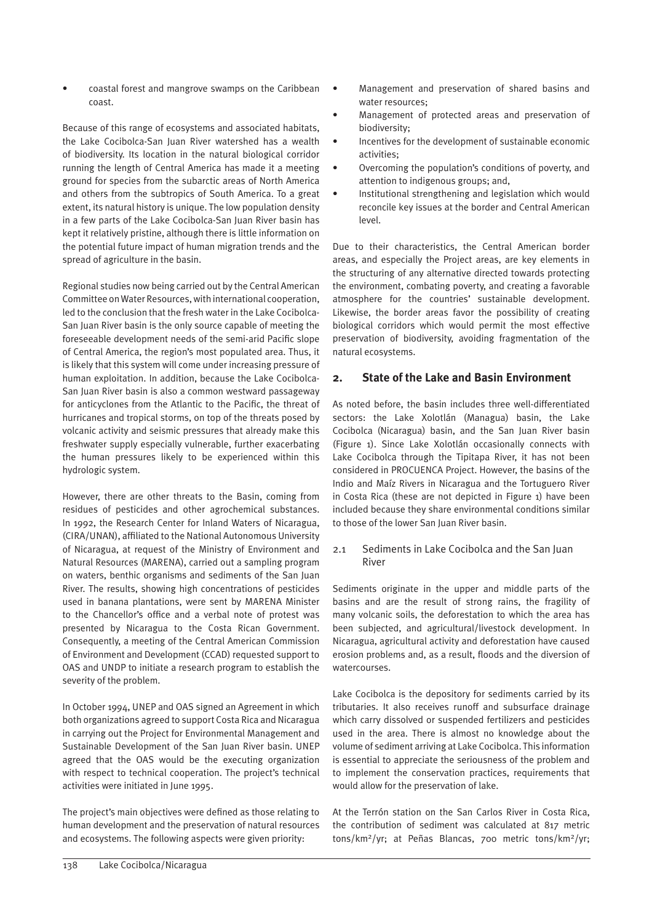• coastal forest and mangrove swamps on the Caribbean coast.

Because of this range of ecosystems and associated habitats, the Lake Cocibolca-San Juan River watershed has a wealth of biodiversity. Its location in the natural biological corridor running the length of Central America has made it a meeting ground for species from the subarctic areas of North America and others from the subtropics of South America. To a great extent, its natural history is unique. The low population density in a few parts of the Lake Cocibolca-San Juan River basin has kept it relatively pristine, although there is little information on the potential future impact of human migration trends and the spread of agriculture in the basin.

Regional studies now being carried out by the Central American Committee on Water Resources, with international cooperation, led to the conclusion that the fresh water in the Lake Cocibolca-San Juan River basin is the only source capable of meeting the foreseeable development needs of the semi-arid Pacific slope of Central America, the region's most populated area. Thus, it is likely that this system will come under increasing pressure of human exploitation. In addition, because the Lake Cocibolca-San Juan River basin is also a common westward passageway for anticyclones from the Atlantic to the Pacific, the threat of hurricanes and tropical storms, on top of the threats posed by volcanic activity and seismic pressures that already make this freshwater supply especially vulnerable, further exacerbating the human pressures likely to be experienced within this hydrologic system.

However, there are other threats to the Basin, coming from residues of pesticides and other agrochemical substances. In 1992, the Research Center for Inland Waters of Nicaragua, (CIRA/UNAN), affiliated to the National Autonomous University of Nicaragua, at request of the Ministry of Environment and Natural Resources (MARENA), carried out a sampling program on waters, benthic organisms and sediments of the San Juan River. The results, showing high concentrations of pesticides used in banana plantations, were sent by MARENA Minister to the Chancellor's office and a verbal note of protest was presented by Nicaragua to the Costa Rican Government. Consequently, a meeting of the Central American Commission of Environment and Development (CCAD) requested support to OAS and UNDP to initiate a research program to establish the severity of the problem.

In October 1994, UNEP and OAS signed an Agreement in which both organizations agreed to support Costa Rica and Nicaragua in carrying out the Project for Environmental Management and Sustainable Development of the San Juan River basin. UNEP agreed that the OAS would be the executing organization with respect to technical cooperation. The project's technical activities were initiated in June 1995.

The project's main objectives were defined as those relating to human development and the preservation of natural resources and ecosystems. The following aspects were given priority:

- Management and preservation of shared basins and water resources;
- Management of protected areas and preservation of biodiversity;
- Incentives for the development of sustainable economic activities;
- Overcoming the population's conditions of poverty, and attention to indigenous groups; and,
- Institutional strengthening and legislation which would reconcile key issues at the border and Central American level.

Due to their characteristics, the Central American border areas, and especially the Project areas, are key elements in the structuring of any alternative directed towards protecting the environment, combating poverty, and creating a favorable atmosphere for the countries' sustainable development. Likewise, the border areas favor the possibility of creating biological corridors which would permit the most effective preservation of biodiversity, avoiding fragmentation of the natural ecosystems.

# **2. State of the Lake and Basin Environment**

As noted before, the basin includes three well-differentiated sectors: the Lake Xolotlán (Managua) basin, the Lake Cocibolca (Nicaragua) basin, and the San Juan River basin (Figure 1). Since Lake Xolotlán occasionally connects with Lake Cocibolca through the Tipitapa River, it has not been considered in PROCUENCA Project. However, the basins of the Indio and Maíz Rivers in Nicaragua and the Tortuguero River in Costa Rica (these are not depicted in Figure 1) have been included because they share environmental conditions similar to those of the lower San Juan River basin.

# 2.1 Sediments in Lake Cocibolca and the San Juan River

Sediments originate in the upper and middle parts of the basins and are the result of strong rains, the fragility of many volcanic soils, the deforestation to which the area has been subjected, and agricultural/livestock development. In Nicaragua, agricultural activity and deforestation have caused erosion problems and, as a result, floods and the diversion of watercourses.

Lake Cocibolca is the depository for sediments carried by its tributaries. It also receives runoff and subsurface drainage which carry dissolved or suspended fertilizers and pesticides used in the area. There is almost no knowledge about the volume of sediment arriving at Lake Cocibolca. This information is essential to appreciate the seriousness of the problem and to implement the conservation practices, requirements that would allow for the preservation of lake.

At the Terrón station on the San Carlos River in Costa Rica, the contribution of sediment was calculated at 817 metric tons/km2/yr; at Peñas Blancas, 700 metric tons/km2/yr;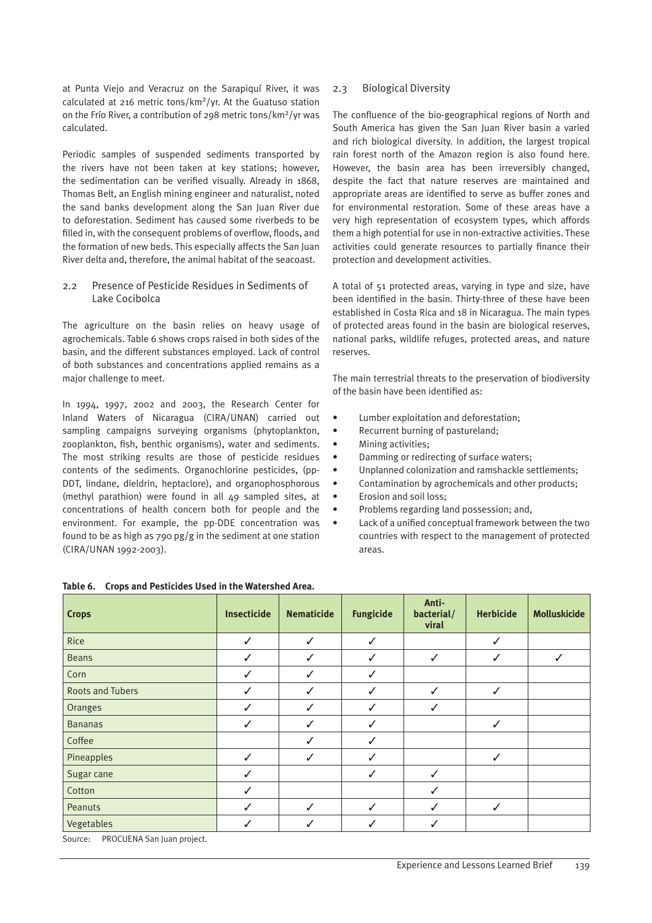at Punta Viejo and Veracruz on the Sarapiquí River, it was calculated at 216 metric tons/km2/yr. At the Guatuso station on the Frío River, a contribution of 298 metric tons/km2/yr was calculated.

Periodic samples of suspended sediments transported by the rivers have not been taken at key stations; however, the sedimentation can be verified visually. Already in 1868, Thomas Belt, an English mining engineer and naturalist, noted the sand banks development along the San Juan River due to deforestation. Sediment has caused some riverbeds to be filled in, with the consequent problems of overflow, floods, and the formation of new beds. This especially affects the San Juan River delta and, therefore, the animal habitat of the seacoast.

#### 2.2 Presence of Pesticide Residues in Sediments of Lake Cocibolca

The agriculture on the basin relies on heavy usage of agrochemicals. Table 6 shows crops raised in both sides of the basin, and the different substances employed. Lack of control of both substances and concentrations applied remains as a major challenge to meet.

In 1994, 1997, 2002 and 2003, the Research Center for Inland Waters of Nicaragua (CIRA/UNAN) carried out sampling campaigns surveying organisms (phytoplankton, zooplankton, fish, benthic organisms), water and sediments. The most striking results are those of pesticide residues contents of the sediments. Organochlorine pesticides, (pp-DDT, lindane, dieldrin, heptaclore), and organophosphorous (methyl parathion) were found in all 49 sampled sites, at concentrations of health concern both for people and the environment. For example, the pp-DDE concentration was found to be as high as 790 pg/g in the sediment at one station (CIRA/UNAN 1992-2003).

#### 2.3 Biological Diversity

The confluence of the bio-geographical regions of North and South America has given the San Juan River basin a varied and rich biological diversity. In addition, the largest tropical rain forest north of the Amazon region is also found here. However, the basin area has been irreversibly changed, despite the fact that nature reserves are maintained and appropriate areas are identified to serve as buffer zones and for environmental restoration. Some of these areas have a very high representation of ecosystem types, which affords them a high potential for use in non-extractive activities. These activities could generate resources to partially finance their protection and development activities.

A total of 51 protected areas, varying in type and size, have been identified in the basin. Thirty-three of these have been established in Costa Rica and 18 in Nicaragua. The main types of protected areas found in the basin are biological reserves, national parks, wildlife refuges, protected areas, and nature reserves.

The main terrestrial threats to the preservation of biodiversity of the basin have been identified as:

- Lumber exploitation and deforestation;
- Recurrent burning of pastureland;
- Mining activities;
- Damming or redirecting of surface waters;
- Unplanned colonization and ramshackle settlements;
- Contamination by agrochemicals and other products;
- Erosion and soil loss;
- Problems regarding land possession; and,
- Lack of a unified conceptual framework between the two countries with respect to the management of protected areas.

| <b>Crops</b>                                                            | <b>Insecticide</b> | <b>Nematicide</b> | <b>Fungicide</b> | Anti-<br>bacterial/<br>viral | <b>Herbicide</b> | <b>Molluskicide</b> |
|-------------------------------------------------------------------------|--------------------|-------------------|------------------|------------------------------|------------------|---------------------|
| Rice                                                                    | $\checkmark$       | $\checkmark$      | ✓                |                              | ✓                |                     |
| <b>Beans</b>                                                            | $\checkmark$       | ✓                 | ✓                | ✓                            | ✓                | ✓                   |
| Corn                                                                    | $\checkmark$       |                   | ✓                |                              |                  |                     |
| <b>Roots and Tubers</b>                                                 | $\checkmark$       | ✓                 | ✓                | $\checkmark$                 | ✓                |                     |
| Oranges                                                                 | $\checkmark$       | $\checkmark$      | ✓                | ✓                            |                  |                     |
| <b>Bananas</b>                                                          | $\checkmark$       | $\checkmark$      | ✓                |                              | $\checkmark$     |                     |
| Coffee                                                                  |                    |                   | ✓                |                              |                  |                     |
| Pineapples                                                              | $\checkmark$       | $\checkmark$      | ✓                |                              | ✓                |                     |
| Sugar cane                                                              | $\checkmark$       |                   | ✓                | $\checkmark$                 |                  |                     |
| Cotton                                                                  | ✓                  |                   |                  | ✓                            |                  |                     |
| Peanuts                                                                 | $\checkmark$       | ✓                 | $\checkmark$     | ✓                            | ✓                |                     |
| Vegetables<br>$\sim$ $\sim$ $\sim$<br>$P(X) = (1 - 1)R(X)$<br>$\cdot$ . | ✓                  | ✓                 | ✓                | ✓                            |                  |                     |

#### **Table 6. Crops and Pesticides Used in the Watershed Area.**

Source: PROCUENA San Juan project.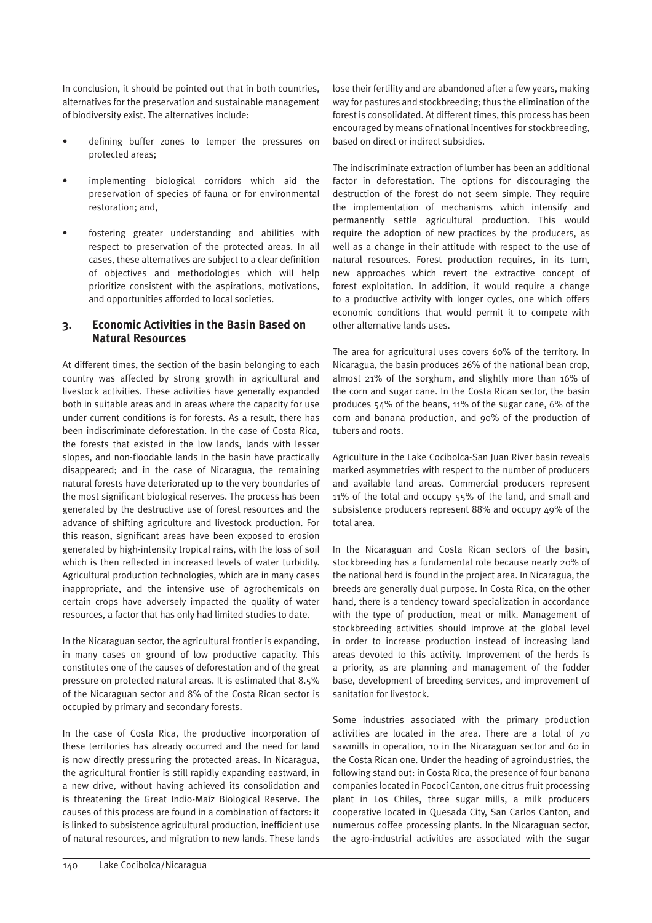In conclusion, it should be pointed out that in both countries, alternatives for the preservation and sustainable management of biodiversity exist. The alternatives include:

- defining buffer zones to temper the pressures on protected areas;
- implementing biological corridors which aid the preservation of species of fauna or for environmental restoration; and,
- fostering greater understanding and abilities with respect to preservation of the protected areas. In all cases, these alternatives are subject to a clear definition of objectives and methodologies which will help prioritize consistent with the aspirations, motivations, and opportunities afforded to local societies.

# **3. Economic Activities in the Basin Based on Natural Resources**

At different times, the section of the basin belonging to each country was affected by strong growth in agricultural and livestock activities. These activities have generally expanded both in suitable areas and in areas where the capacity for use under current conditions is for forests. As a result, there has been indiscriminate deforestation. In the case of Costa Rica, the forests that existed in the low lands, lands with lesser slopes, and non-floodable lands in the basin have practically disappeared; and in the case of Nicaragua, the remaining natural forests have deteriorated up to the very boundaries of the most significant biological reserves. The process has been generated by the destructive use of forest resources and the advance of shifting agriculture and livestock production. For this reason, significant areas have been exposed to erosion generated by high-intensity tropical rains, with the loss of soil which is then reflected in increased levels of water turbidity. Agricultural production technologies, which are in many cases inappropriate, and the intensive use of agrochemicals on certain crops have adversely impacted the quality of water resources, a factor that has only had limited studies to date.

In the Nicaraguan sector, the agricultural frontier is expanding, in many cases on ground of low productive capacity. This constitutes one of the causes of deforestation and of the great pressure on protected natural areas. It is estimated that 8.5% of the Nicaraguan sector and 8% of the Costa Rican sector is occupied by primary and secondary forests.

In the case of Costa Rica, the productive incorporation of these territories has already occurred and the need for land is now directly pressuring the protected areas. In Nicaragua, the agricultural frontier is still rapidly expanding eastward, in a new drive, without having achieved its consolidation and is threatening the Great Indio-Maíz Biological Reserve. The causes of this process are found in a combination of factors: it is linked to subsistence agricultural production, inefficient use of natural resources, and migration to new lands. These lands lose their fertility and are abandoned after a few years, making way for pastures and stockbreeding; thus the elimination of the forest is consolidated. At different times, this process has been encouraged by means of national incentives for stockbreeding, based on direct or indirect subsidies.

The indiscriminate extraction of lumber has been an additional factor in deforestation. The options for discouraging the destruction of the forest do not seem simple. They require the implementation of mechanisms which intensify and permanently settle agricultural production. This would require the adoption of new practices by the producers, as well as a change in their attitude with respect to the use of natural resources. Forest production requires, in its turn, new approaches which revert the extractive concept of forest exploitation. In addition, it would require a change to a productive activity with longer cycles, one which offers economic conditions that would permit it to compete with other alternative lands uses.

The area for agricultural uses covers 60% of the territory. In Nicaragua, the basin produces 26% of the national bean crop, almost 21% of the sorghum, and slightly more than 16% of the corn and sugar cane. In the Costa Rican sector, the basin produces 54% of the beans, 11% of the sugar cane, 6% of the corn and banana production, and 90% of the production of tubers and roots.

Agriculture in the Lake Cocibolca-San Juan River basin reveals marked asymmetries with respect to the number of producers and available land areas. Commercial producers represent 11% of the total and occupy 55% of the land, and small and subsistence producers represent 88% and occupy 49% of the total area.

In the Nicaraguan and Costa Rican sectors of the basin, stockbreeding has a fundamental role because nearly 20% of the national herd is found in the project area. In Nicaragua, the breeds are generally dual purpose. In Costa Rica, on the other hand, there is a tendency toward specialization in accordance with the type of production, meat or milk. Management of stockbreeding activities should improve at the global level in order to increase production instead of increasing land areas devoted to this activity. Improvement of the herds is a priority, as are planning and management of the fodder base, development of breeding services, and improvement of sanitation for livestock.

Some industries associated with the primary production activities are located in the area. There are a total of 70 sawmills in operation, 10 in the Nicaraguan sector and 60 in the Costa Rican one. Under the heading of agroindustries, the following stand out: in Costa Rica, the presence of four banana companies located in Pococí Canton, one citrus fruit processing plant in Los Chiles, three sugar mills, a milk producers cooperative located in Quesada City, San Carlos Canton, and numerous coffee processing plants. In the Nicaraguan sector, the agro-industrial activities are associated with the sugar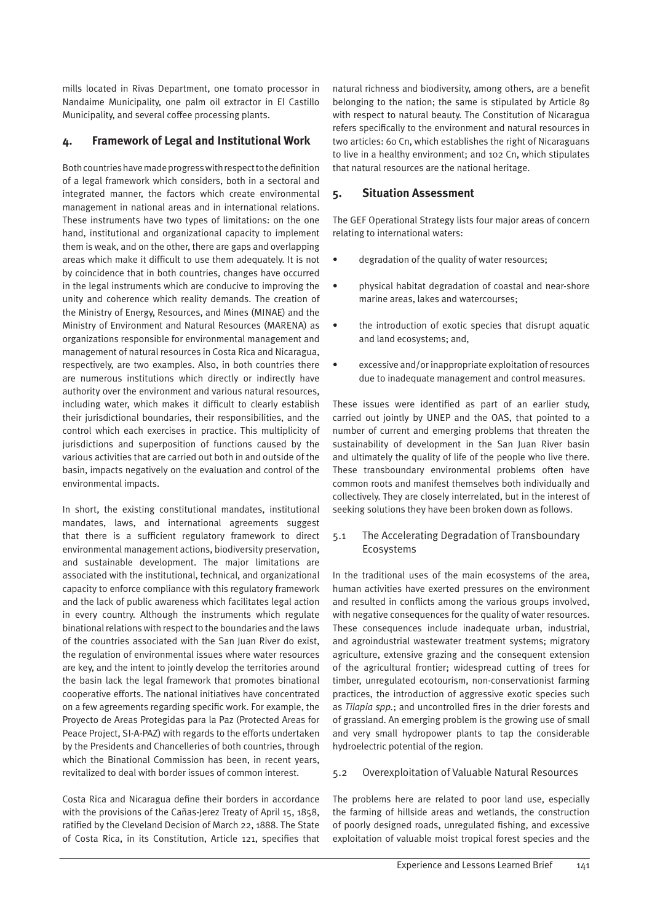mills located in Rivas Department, one tomato processor in Nandaime Municipality, one palm oil extractor in El Castillo Municipality, and several coffee processing plants.

# **4. Framework of Legal and Institutional Work**

Both countries have made progress with respect to the definition of a legal framework which considers, both in a sectoral and integrated manner, the factors which create environmental management in national areas and in international relations. These instruments have two types of limitations: on the one hand, institutional and organizational capacity to implement them is weak, and on the other, there are gaps and overlapping areas which make it difficult to use them adequately. It is not by coincidence that in both countries, changes have occurred in the legal instruments which are conducive to improving the unity and coherence which reality demands. The creation of the Ministry of Energy, Resources, and Mines (MINAE) and the Ministry of Environment and Natural Resources (MARENA) as organizations responsible for environmental management and management of natural resources in Costa Rica and Nicaragua, respectively, are two examples. Also, in both countries there are numerous institutions which directly or indirectly have authority over the environment and various natural resources, including water, which makes it difficult to clearly establish their jurisdictional boundaries, their responsibilities, and the control which each exercises in practice. This multiplicity of jurisdictions and superposition of functions caused by the various activities that are carried out both in and outside of the basin, impacts negatively on the evaluation and control of the environmental impacts.

In short, the existing constitutional mandates, institutional mandates, laws, and international agreements suggest that there is a sufficient regulatory framework to direct environmental management actions, biodiversity preservation, and sustainable development. The major limitations are associated with the institutional, technical, and organizational capacity to enforce compliance with this regulatory framework and the lack of public awareness which facilitates legal action in every country. Although the instruments which regulate binational relations with respect to the boundaries and the laws of the countries associated with the San Juan River do exist, the regulation of environmental issues where water resources are key, and the intent to jointly develop the territories around the basin lack the legal framework that promotes binational cooperative efforts. The national initiatives have concentrated on a few agreements regarding specific work. For example, the Proyecto de Areas Protegidas para la Paz (Protected Areas for Peace Project, SI-A-PAZ) with regards to the efforts undertaken by the Presidents and Chancelleries of both countries, through which the Binational Commission has been, in recent years, revitalized to deal with border issues of common interest.

Costa Rica and Nicaragua define their borders in accordance with the provisions of the Cañas-Jerez Treaty of April 15, 1858. ratified by the Cleveland Decision of March 22, 1888. The State of Costa Rica, in its Constitution, Article 121, specifies that

natural richness and biodiversity, among others, are a benefit belonging to the nation; the same is stipulated by Article 89 with respect to natural beauty. The Constitution of Nicaragua refers specifically to the environment and natural resources in two articles: 60 Cn, which establishes the right of Nicaraguans to live in a healthy environment; and 102 Cn, which stipulates that natural resources are the national heritage.

# **5. Situation Assessment**

The GEF Operational Strategy lists four major areas of concern relating to international waters:

- degradation of the quality of water resources;
- physical habitat degradation of coastal and near-shore marine areas, lakes and watercourses;
- the introduction of exotic species that disrupt aquatic and land ecosystems; and,
- excessive and/or inappropriate exploitation of resources due to inadequate management and control measures.

These issues were identified as part of an earlier study, carried out jointly by UNEP and the OAS, that pointed to a number of current and emerging problems that threaten the sustainability of development in the San Juan River basin and ultimately the quality of life of the people who live there. These transboundary environmental problems often have common roots and manifest themselves both individually and collectively. They are closely interrelated, but in the interest of seeking solutions they have been broken down as follows.

#### 5.1 The Accelerating Degradation of Transboundary Ecosystems

In the traditional uses of the main ecosystems of the area, human activities have exerted pressures on the environment and resulted in conflicts among the various groups involved, with negative consequences for the quality of water resources. These consequences include inadequate urban, industrial, and agroindustrial wastewater treatment systems; migratory agriculture, extensive grazing and the consequent extension of the agricultural frontier; widespread cutting of trees for timber, unregulated ecotourism, non-conservationist farming practices, the introduction of aggressive exotic species such as *Tilapia spp.*; and uncontrolled fires in the drier forests and of grassland. An emerging problem is the growing use of small and very small hydropower plants to tap the considerable hydroelectric potential of the region.

# 5.2 Overexploitation of Valuable Natural Resources

The problems here are related to poor land use, especially the farming of hillside areas and wetlands, the construction of poorly designed roads, unregulated fishing, and excessive exploitation of valuable moist tropical forest species and the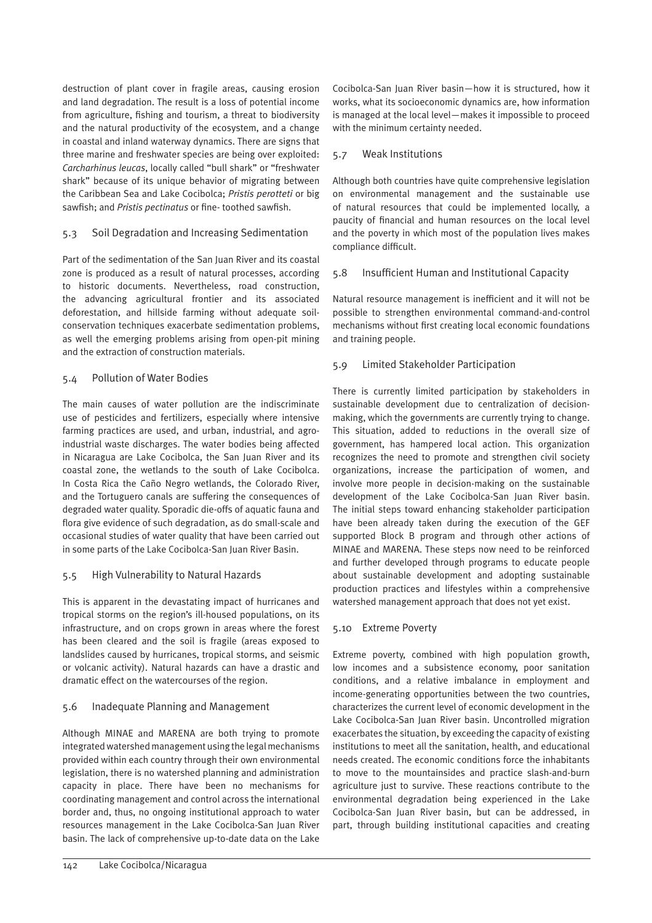destruction of plant cover in fragile areas, causing erosion and land degradation. The result is a loss of potential income from agriculture, fishing and tourism, a threat to biodiversity and the natural productivity of the ecosystem, and a change in coastal and inland waterway dynamics. There are signs that three marine and freshwater species are being over exploited: *Carcharhinus leucas*, locally called "bull shark" or "freshwater shark" because of its unique behavior of migrating between the Caribbean Sea and Lake Cocibolca; *Pristis perotteti* or big sawfish; and *Pristis pectinatus* or fine- toothed sawfish.

#### 5.3 Soil Degradation and Increasing Sedimentation

Part of the sedimentation of the San Juan River and its coastal zone is produced as a result of natural processes, according to historic documents. Nevertheless, road construction, the advancing agricultural frontier and its associated deforestation, and hillside farming without adequate soilconservation techniques exacerbate sedimentation problems, as well the emerging problems arising from open-pit mining and the extraction of construction materials.

#### 5.4 Pollution of Water Bodies

The main causes of water pollution are the indiscriminate use of pesticides and fertilizers, especially where intensive farming practices are used, and urban, industrial, and agroindustrial waste discharges. The water bodies being affected in Nicaragua are Lake Cocibolca, the San Juan River and its coastal zone, the wetlands to the south of Lake Cocibolca. In Costa Rica the Caño Negro wetlands, the Colorado River, and the Tortuguero canals are suffering the consequences of degraded water quality. Sporadic die-offs of aquatic fauna and flora give evidence of such degradation, as do small-scale and occasional studies of water quality that have been carried out in some parts of the Lake Cocibolca-San Juan River Basin.

#### 5.5 High Vulnerability to Natural Hazards

This is apparent in the devastating impact of hurricanes and tropical storms on the region's ill-housed populations, on its infrastructure, and on crops grown in areas where the forest has been cleared and the soil is fragile (areas exposed to landslides caused by hurricanes, tropical storms, and seismic or volcanic activity). Natural hazards can have a drastic and dramatic effect on the watercourses of the region.

#### 5.6 Inadequate Planning and Management

Although MINAE and MARENA are both trying to promote integrated watershed management using the legal mechanisms provided within each country through their own environmental legislation, there is no watershed planning and administration capacity in place. There have been no mechanisms for coordinating management and control across the international border and, thus, no ongoing institutional approach to water resources management in the Lake Cocibolca-San Juan River basin. The lack of comprehensive up-to-date data on the Lake

#### 5.7 Weak Institutions

Although both countries have quite comprehensive legislation on environmental management and the sustainable use of natural resources that could be implemented locally, a paucity of financial and human resources on the local level and the poverty in which most of the population lives makes compliance difficult.

#### 5.8 Insufficient Human and Institutional Capacity

Natural resource management is inefficient and it will not be possible to strengthen environmental command-and-control mechanisms without first creating local economic foundations and training people.

#### 5.9 Limited Stakeholder Participation

There is currently limited participation by stakeholders in sustainable development due to centralization of decisionmaking, which the governments are currently trying to change. This situation, added to reductions in the overall size of government, has hampered local action. This organization recognizes the need to promote and strengthen civil society organizations, increase the participation of women, and involve more people in decision-making on the sustainable development of the Lake Cocibolca-San Juan River basin. The initial steps toward enhancing stakeholder participation have been already taken during the execution of the GEF supported Block B program and through other actions of MINAE and MARENA. These steps now need to be reinforced and further developed through programs to educate people about sustainable development and adopting sustainable production practices and lifestyles within a comprehensive watershed management approach that does not yet exist.

#### 5.10 Extreme Poverty

Extreme poverty, combined with high population growth, low incomes and a subsistence economy, poor sanitation conditions, and a relative imbalance in employment and income-generating opportunities between the two countries, characterizes the current level of economic development in the Lake Cocibolca-San Juan River basin. Uncontrolled migration exacerbates the situation, by exceeding the capacity of existing institutions to meet all the sanitation, health, and educational needs created. The economic conditions force the inhabitants to move to the mountainsides and practice slash-and-burn agriculture just to survive. These reactions contribute to the environmental degradation being experienced in the Lake Cocibolca-San Juan River basin, but can be addressed, in part, through building institutional capacities and creating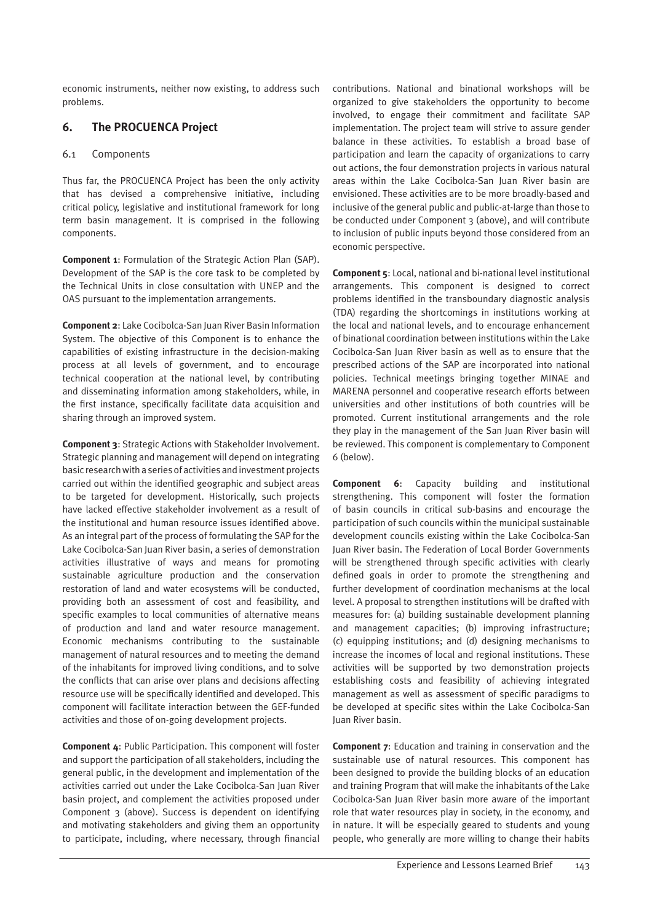economic instruments, neither now existing, to address such problems.

# **6. The PROCUENCA Project**

#### 6.1 Components

Thus far, the PROCUENCA Project has been the only activity that has devised a comprehensive initiative, including critical policy, legislative and institutional framework for long term basin management. It is comprised in the following components.

**Component 1**: Formulation of the Strategic Action Plan (SAP). Development of the SAP is the core task to be completed by the Technical Units in close consultation with UNEP and the OAS pursuant to the implementation arrangements.

**Component 2**: Lake Cocibolca-San Juan River Basin Information System. The objective of this Component is to enhance the capabilities of existing infrastructure in the decision-making process at all levels of government, and to encourage technical cooperation at the national level, by contributing and disseminating information among stakeholders, while, in the first instance, specifically facilitate data acquisition and sharing through an improved system.

**Component 3**: Strategic Actions with Stakeholder Involvement. Strategic planning and management will depend on integrating basic research with a series of activities and investment projects carried out within the identified geographic and subject areas to be targeted for development. Historically, such projects have lacked effective stakeholder involvement as a result of the institutional and human resource issues identified above. As an integral part of the process of formulating the SAP for the Lake Cocibolca-San Juan River basin, a series of demonstration activities illustrative of ways and means for promoting sustainable agriculture production and the conservation restoration of land and water ecosystems will be conducted, providing both an assessment of cost and feasibility, and specific examples to local communities of alternative means of production and land and water resource management. Economic mechanisms contributing to the sustainable management of natural resources and to meeting the demand of the inhabitants for improved living conditions, and to solve the conflicts that can arise over plans and decisions affecting resource use will be specifically identified and developed. This component will facilitate interaction between the GEF-funded activities and those of on-going development projects.

**Component 4**: Public Participation. This component will foster and support the participation of all stakeholders, including the general public, in the development and implementation of the activities carried out under the Lake Cocibolca-San Juan River basin project, and complement the activities proposed under Component 3 (above). Success is dependent on identifying and motivating stakeholders and giving them an opportunity to participate, including, where necessary, through financial contributions. National and binational workshops will be organized to give stakeholders the opportunity to become involved, to engage their commitment and facilitate SAP implementation. The project team will strive to assure gender balance in these activities. To establish a broad base of participation and learn the capacity of organizations to carry out actions, the four demonstration projects in various natural areas within the Lake Cocibolca-San Juan River basin are envisioned. These activities are to be more broadly-based and inclusive of the general public and public-at-large than those to be conducted under Component 3 (above), and will contribute to inclusion of public inputs beyond those considered from an economic perspective.

**Component 5**: Local, national and bi-national level institutional arrangements. This component is designed to correct problems identified in the transboundary diagnostic analysis (TDA) regarding the shortcomings in institutions working at the local and national levels, and to encourage enhancement of binational coordination between institutions within the Lake Cocibolca-San Juan River basin as well as to ensure that the prescribed actions of the SAP are incorporated into national policies. Technical meetings bringing together MINAE and MARENA personnel and cooperative research efforts between universities and other institutions of both countries will be promoted. Current institutional arrangements and the role they play in the management of the San Juan River basin will be reviewed. This component is complementary to Component 6 (below).

**Component 6**: Capacity building and institutional strengthening. This component will foster the formation of basin councils in critical sub-basins and encourage the participation of such councils within the municipal sustainable development councils existing within the Lake Cocibolca-San Juan River basin. The Federation of Local Border Governments will be strengthened through specific activities with clearly defined goals in order to promote the strengthening and further development of coordination mechanisms at the local level. A proposal to strengthen institutions will be drafted with measures for: (a) building sustainable development planning and management capacities; (b) improving infrastructure; (c) equipping institutions; and (d) designing mechanisms to increase the incomes of local and regional institutions. These activities will be supported by two demonstration projects establishing costs and feasibility of achieving integrated management as well as assessment of specific paradigms to be developed at specific sites within the Lake Cocibolca-San Juan River basin.

**Component 7**: Education and training in conservation and the sustainable use of natural resources. This component has been designed to provide the building blocks of an education and training Program that will make the inhabitants of the Lake Cocibolca-San Juan River basin more aware of the important role that water resources play in society, in the economy, and in nature. It will be especially geared to students and young people, who generally are more willing to change their habits